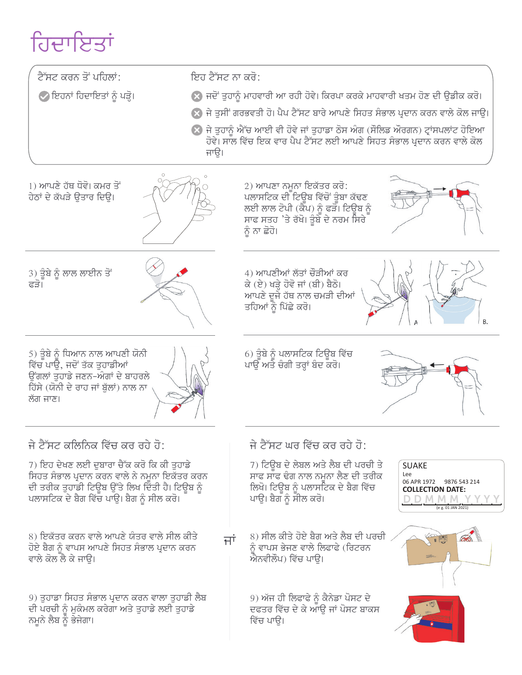# ਹਿਦਾਇਤਾਂ

| ਟੈੱਸਟ ਕਰਨ ਤੋਂ ਪਹਿਲਾਂ:                                                                                                                                                                     | ਇਹ ਟੈੱਸਟ ਨਾ ਕਰੋ:                                                                                                                                                                                                                          |
|-------------------------------------------------------------------------------------------------------------------------------------------------------------------------------------------|-------------------------------------------------------------------------------------------------------------------------------------------------------------------------------------------------------------------------------------------|
| ◇ ਇਹਨਾਂ ਹਿਦਾਇਤਾਂ ਨੂੰ ਪੜ੍ਹੋ।                                                                                                                                                               | ※ ਜਦੋਂ ਤੁਹਾਨੂੰ ਮਾਹਵਾਰੀ ਆ ਰਹੀ ਹੋਵੇ। ਕਿਰਪਾ ਕਰਕੇ ਮਾਹਵਾਰੀ ਖਤਮ ਹੋਣ ਦੀ ਉਡੀਕ ਕਰੋ।                                                                                                                                                                |
|                                                                                                                                                                                           | ※ ਜੇ ਤੁਸੀਂ ਗਰਭਵਤੀ ਹੋ। ਪੈਪ ਟੈੱਸਟ ਬਾਰੇ ਆਪਣੇ ਸਿਹਤ ਸੰਭਾਲ ਪ੍ਰਦਾਨ ਕਰਨ ਵਾਲੇ ਕੋਲ ਜਾਉ।                                                                                                                                                             |
|                                                                                                                                                                                           | <mark>≫</mark> ਜੇ ਤੁਹਾਨੂੰ ਐੱਚ ਆਈ ਵੀ ਹੋਵੇ ਜਾਂ ਤੁਹਾਡਾ ਠੋਸ ਅੰਗ (ਸੌਲਿਡ ਔਰਗਨ) ਟ੍ਰਾਂਸਪਲਾਂਟ ਹੋਇਆ<br>ਹੋਵੇ। ਸਾਲ ਵਿੱਚ ਇਕ ਵਾਰ ਪੈਪ ਟੈੱਸਟ ਲਈ ਆਪਣੇ ਸਿਹਤ ਸੰਭਾਲ ਪ੍ਰਦਾਨ ਕਰਨ ਵਾਲੇ ਕੋਲ                                                                       |
|                                                                                                                                                                                           | ਜਾੳ।                                                                                                                                                                                                                                      |
|                                                                                                                                                                                           |                                                                                                                                                                                                                                           |
| 1) ਆਪਣੇ ਹੱਥ ਧੋਵੋ। ਕਮਰ ਤੋਂ<br>ਹੇਠਾਂ ਦੇ ਕੱਪੜੇ ਉਤਾਰ ਦਿਉ।                                                                                                                                     | 2) ਆਪਣਾ ਨਮੂਨਾ ਇਕੱਤਰ ਕਰੋ:<br>ਪਲਾਸਟਿਕ ਦੀ ਟਿਊਬ ਵਿੱਚੋਂ ਤੁੰਬਾ ਕੱਢਣ<br>ਲਈ ਲਾਲ ਟੋਪੀ (ਕੈਪ) ਨੂੰ ਫੜੋ। ਟਿਊਬ ਨੂੰ                                                                                                                                      |
|                                                                                                                                                                                           | ਸਾਫ ਸਤਹ 'ਤੇ ਰੱਖੋ। ਤੁੰਬੇ ਦੇ ਨਰਮ ਸਿਰੇ<br>ਨੂੰ ਨਾ ਛੋਹੋ।                                                                                                                                                                                       |
| 3) ਤੂੰਬੇ ਨੂੰ ਲਾਲ ਲਾਈਨ ਤੋਂ<br>ਫੜੋ।                                                                                                                                                         | 4) ਆਪਣੀਆਂ ਲੱਤਾਂ ਚੌੜੀਆਂ ਕਰ<br>ਕੇ (ਏ) ਖੜ੍ਹੇ ਹੋਵੋ ਜਾਂ (ਬੀ) ਬੈਠੋ।<br>ਆਪਣੇ ਦਜੇ ਹੱਥ ਨਾਲ ਚਮੜੀ ਦੀਆਂ<br>ਤਹਿਆਂ ਨੂੰ ਪਿੱਛੇ ਕਰੋ।                                                                                                                       |
|                                                                                                                                                                                           |                                                                                                                                                                                                                                           |
| 5) ਤੁੰਬੇ ਨੂੰ ਧਿਆਨ ਨਾਲ ਆਪਣੀ ਯੋਨੀ<br>ਵਿੱਚ ਪਾਉ, ਜਦੋਂ ਤੱਕ ਤੁਹਾਡੀਆਂ<br>ਉਂਗਲਾਂ ਤੁਹਾਡੇ ਜਣਨ-ਅੰਗਾਂ ਦੇ ਬਾਹਰਲੇ<br>ਹਿੱਸੇ (ਯੋਨੀ ਦੇ ਰਾਹ ਜਾਂ ਬੁੱਲਾਂ) ਨਾਲ ਨਾ<br>ਲੱਗ ਜਾਣ।                                  | 6) ਤੁੰਬੇ ਨੂੰ ਪਲਾਸਟਿਕ ਟਿਊਬ ਵਿੱਚ<br>ਪਾਉੱ ਅਤੇ ਚੰਗੀ ਤਰ੍ਹਾਂ ਬੰਦ ਕਰੋ।                                                                                                                                                                           |
| ਜੇ ਟੈੱਸਟ ਕਲਿਨਿਕ ਵਿੱਚ ਕਰ ਰਹੇ ਹੋ:                                                                                                                                                           | ∣ ਜੇ ਟੈੱਸਟ ਘਰ ਵਿੱਚ ਕਰ ਰਹੇ ਹੋ:                                                                                                                                                                                                             |
| 7) ਇਹ ਦੇਖਣ ਲਈ ਦਬਾਰਾ ਚੈੱਕ ਕਰੋ ਕਿ ਕੀ ਤਹਾਡੇ<br>ਸਿਹਤ ਸੰਭਾਲ ਪ੍ਰਦਾਨ ਕਰਨ ਵਾਲੇ ਨੇ ਨਮੂਨਾ ਇਕੱਤਰ ਕਰਨ<br>ਦੀ ਤਰੀਕ ਤੁਹਾਡੀ ਟਿਊਬ ਉੱਤੇ ਲਿਖ ਦਿੱਤੀ ਹੈ। ਟਿਊਬ ਨੂੰ<br>ਪਲਾਸਟਿਕ ਦੇ ਬੈਗ ਵਿੱਚ ਪਾਉ। ਬੈਗ ਨੂੰ ਸੀਲ ਕਰੋ। | 7) ਟਿਊਬ ਦੇ ਲੇਬਲ ਅਤੇ ਲੈਬ ਦੀ ਪਰਚੀ ਤੇ<br><b>SUAKE</b><br>ਸਾਫ ਸਾਫ ਢੰਗ ਨਾਲ ਨਮਨਾ ਲੈਣ ਦੀ ਤਰੀਕ<br>Lee<br>06 APR 1972 9876 543 214<br>ਲਿਖੋ। ਟਿਊਬ ਨੂੰ ਪਲਾਸਟਿਕ ਦੇ ਬੈਗ ਵਿੱਚ<br><b>COLLECTION DATE:</b><br>ਪਾਉ। ਬੈਗ ਨੂੰ ਸੀਲ ਕਰੋ।<br>(e g. 01 JAN 2021) |
| 8) ਇਕੱਤਰ ਕਰਨ ਵਾਲੇ ਆਪਣੇ ਯੰਤਰ ਵਾਲੇ ਸੀਲ ਕੀਤੇ<br>ਹੋਏ ਬੈਗ ਨੂੰ ਵਾਪਸ ਆਪਣੇ ਸਿਹਤ ਸੰਭਾਲ ਪ੍ਰਦਾਨ ਕਰਨ<br>ਵਾਲੇ ਕੋਲ ਲੈ ਕੇ ਜਾਓ।                                                                           | 8) ਸੀਲ ਕੀਤੇ ਹੋਏ ਬੈਗ ਅਤੇ ਲੈਬ ਦੀ ਪਰਚੀ<br>ਜਾਂ<br>ਨੂੰ ਵਾਪਸ ਭੇਜਣ ਵਾਲੇ ਲਿਫਾਫੇ (ਰਿਟਰਨ<br>ਐਨਵੀਲੌਪ) ਵਿੱਚ ਪਾੳ।                                                                                                                                      |
| 9) ਤੁਹਾਡਾ ਸਿਹਤ ਸੰਭਾਲ ਪ੍ਰਦਾਨ ਕਰਨ ਵਾਲਾ ਤੁਹਾਡੀ ਲੈਬ<br>ਦੀ ਪਰਚੀ ਨੂੰ ਮੁਕੰਮਲ ਕਰੇਗਾ ਅਤੇ ਤੁਹਾਡੇ ਲਈ ਤੁਹਾਡੇ<br>ਨਮੂਨੇ ਲੈਬ ਨੂੰ ਭੇਜੇਗਾ।                                                                 | 9) ਅੱਜ ਹੀ ਲਿਫਾਫੇ ਨੂੰ ਕੈਨੇਡਾ ਪੋਸਟ ਦੇ<br>ਦਫਤਰ ਵਿੱਚ ਦੇ ਕੇ ਆਉ ਜਾਂ ਪੋਸਟ ਬਾਕਸ<br>ਵਿੱਚ ਪਾੳ।                                                                                                                                                      |